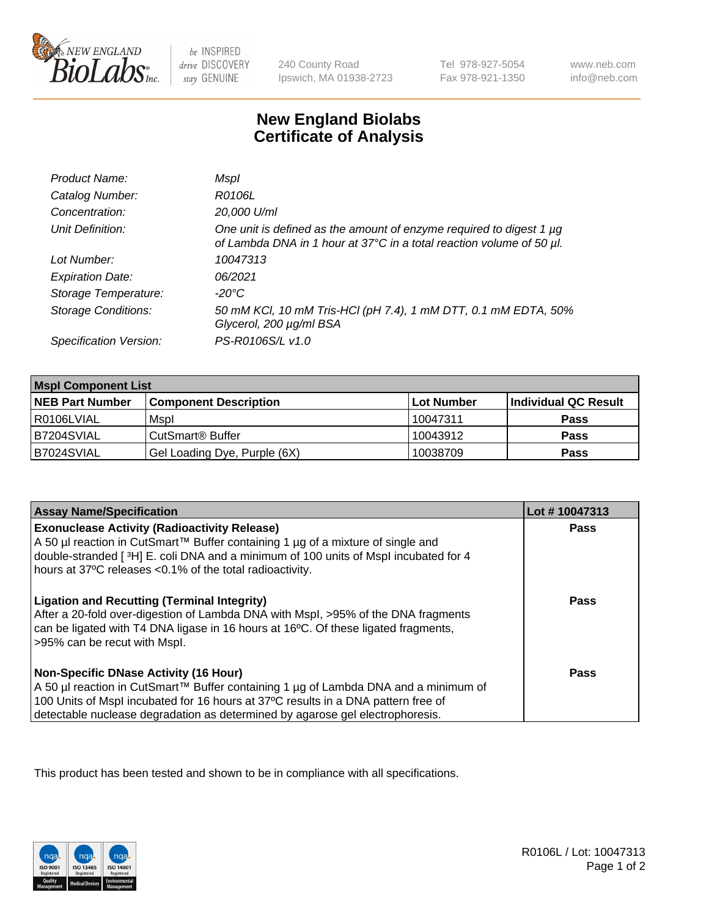

 $be$  INSPIRED drive DISCOVERY stay GENUINE

240 County Road Ipswich, MA 01938-2723 Tel 978-927-5054 Fax 978-921-1350

www.neb.com info@neb.com

## **New England Biolabs Certificate of Analysis**

| Product Name:              | Mspl                                                                                                                                        |
|----------------------------|---------------------------------------------------------------------------------------------------------------------------------------------|
| Catalog Number:            | R0106L                                                                                                                                      |
| Concentration:             | 20,000 U/ml                                                                                                                                 |
| Unit Definition:           | One unit is defined as the amount of enzyme required to digest 1 µg<br>of Lambda DNA in 1 hour at 37°C in a total reaction volume of 50 µl. |
| Lot Number:                | 10047313                                                                                                                                    |
| <b>Expiration Date:</b>    | 06/2021                                                                                                                                     |
| Storage Temperature:       | -20°C                                                                                                                                       |
| <b>Storage Conditions:</b> | 50 mM KCl, 10 mM Tris-HCl (pH 7.4), 1 mM DTT, 0.1 mM EDTA, 50%<br>Glycerol, 200 µg/ml BSA                                                   |
| Specification Version:     | PS-R0106S/L v1.0                                                                                                                            |

| <b>Mspl Component List</b> |                              |            |                      |  |
|----------------------------|------------------------------|------------|----------------------|--|
| <b>NEB Part Number</b>     | <b>Component Description</b> | Lot Number | Individual QC Result |  |
| I R0106LVIAL               | Mspl                         | 10047311   | <b>Pass</b>          |  |
| B7204SVIAL                 | CutSmart <sup>®</sup> Buffer | 10043912   | <b>Pass</b>          |  |
| B7024SVIAL                 | Gel Loading Dye, Purple (6X) | 10038709   | <b>Pass</b>          |  |

| <b>Assay Name/Specification</b>                                                                                                                                                                                                                                                                             | Lot #10047313 |
|-------------------------------------------------------------------------------------------------------------------------------------------------------------------------------------------------------------------------------------------------------------------------------------------------------------|---------------|
| <b>Exonuclease Activity (Radioactivity Release)</b><br>  A 50 µl reaction in CutSmart™ Buffer containing 1 µg of a mixture of single and<br>double-stranded [3H] E. coli DNA and a minimum of 100 units of Mspl incubated for 4<br>hours at 37°C releases <0.1% of the total radioactivity.                 | Pass          |
| <b>Ligation and Recutting (Terminal Integrity)</b><br>After a 20-fold over-digestion of Lambda DNA with Mspl, >95% of the DNA fragments<br>can be ligated with T4 DNA ligase in 16 hours at 16°C. Of these ligated fragments,<br>>95% can be recut with Mspl.                                               | Pass          |
| <b>Non-Specific DNase Activity (16 Hour)</b><br>  A 50 µl reaction in CutSmart™ Buffer containing 1 µg of Lambda DNA and a minimum of<br>100 Units of Mspl incubated for 16 hours at 37°C results in a DNA pattern free of<br>detectable nuclease degradation as determined by agarose gel electrophoresis. | Pass          |

This product has been tested and shown to be in compliance with all specifications.